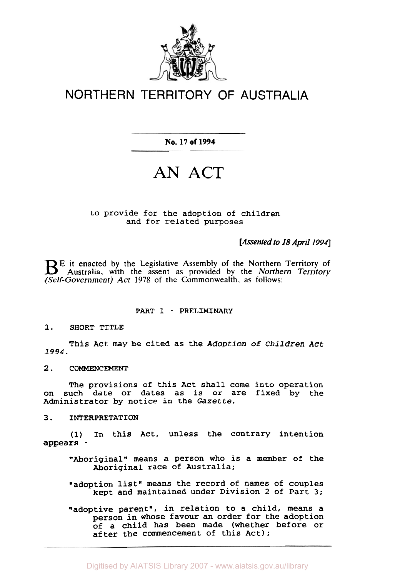

# NORTHERN TERRITORY OF AUSTRALIA

**No. 17 of 1994** 

# **AN ACT**

# to provide for the adoption of children and for related purposes

*[Assented to 18 April 1994]* 

**E** it enacted by the Legislative Assembly of the Northern Territory of Australia, with the assent as provided by the *Northern Territory (Self-Government) Act* **1978 of the Commonwealth. as follows:** 

# PART **1** - PRELIMINARY

**1. SHORT** TITLE

This Act may be cited as the *Adoption* of *Children Act 1994.* 

**2.** COMMENCEMENT

The provisions of this Act shall come into operation on such date or dates as is or are fixed by the Administrator by notice in the Gazette.

#### **3.** INTERPRETATION

(1) In this Act, unless the contrary intention appears -

- "Aboriginal" means a person who is a member of the Aboriginal race of Australia;
- "adoption list" means the record of names of couples kept and maintained under Division **2** of Part **3;**
- "adoptive parent", in relation to a child, means a person in whose favour an order for the adoption of a child has been made (whether before or after the commencement of this Act);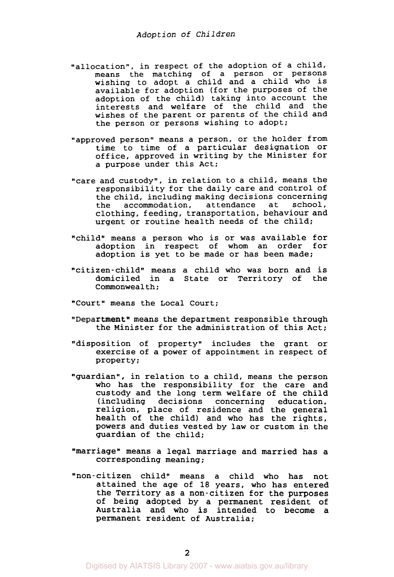- "allocation", in respect of the adoption of a child, means the matching of a person or persons wishing to adopt a child and a child who is available for adoption (for the purposes of the adoption of the child) taking into account the interests and welfare of the child and the wishes of the parent or parents of the child and the person or persons wishing to adopt;
- "approved person" means a person, or the holder from time to time of a particular designation or office, approved in writing by the Minister for a purpose under this Act;
- "care and custody", in relation to a child, means the responsibility for the daily care and control of the child, including making decisions concerning<br>the accommodation, attendance at school, accommodation, attendance at clothing, feeding, transportation, behaviour and urgent or routine health needs of the child;
- "child" means a person who is or was available for adoption in respect of whom an order for adoption is yet to be made or has been made;
- "citizen-child" means a child who was born and is domiciled in a State or Territory of the Commonwealth:
- "Court" means the Local Court;
- "Department" means the department responsible through the Minister for the administration of this Act;
- "disposition of property" includes the grant or exercise of a power of appointment in respect of property;
- "guardian", in relation to a child, means the person who has the responsibility for the care and custody and the long term welfare of the child (including decisions concerning education, religion, place of residence and the general health of the child) and who has the rights, powers and duties vested by law or custom in the guardian of the child;
- "marriage" means a legal marriage and married has a corresponding meaning;
- "non-citizen child" means a child who has not attained the age of 18 years, who has entered the Territory as a non-citizen for the purposes of being adopted by a permanent resident of Australia and who is intended to become a permanent resident of Australia;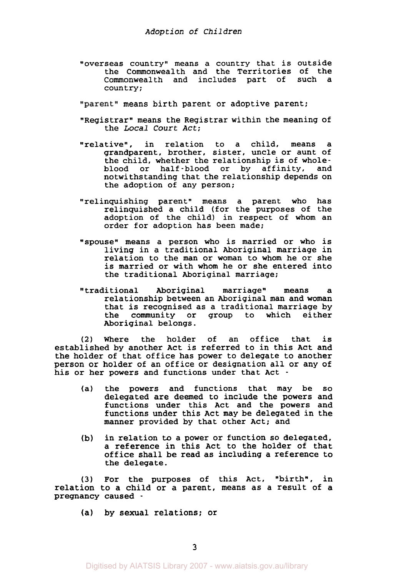"overseas country" means a country that is outside the Commonwealth and the Territories of the Commonwealth and includes part of such a country;

"parent" means birth parent or adoptive parent;

- "Registrar" means the Registrar within the meaning of the *Local Court Act;*
- "relative", in relation to a child, means a grandparent, brother, sister, uncle or aunt of the child, whether the relationship is of wholeblood or half-blood or by affinity, and notwithstanding that the relationship depends on the adoption of any person;
- "relinquishing parent" means a parent who has relinquished a child (for the purposes of the adoption of the child) in respect of whom an order for adoption has been made;
- "spouse" means a person who is married or who is living in a traditional Aboriginal marriage in relation to the man or woman to whom he or she is married or with whom he or she entered into the traditional Aboriginal marriage;
- traditional Aboriginal marriage" means a relationship between an Aboriginal man and woman that is recognised as a traditional marriage by<br>the community or group to which either the community or group to which Aboriginal belongs.

*(2)* Where the holder of an office that is established by another Act is referred to in this Act and the holder of that office has power to delegate to another person or holder of an office or designation all or any of his or her powers and functions under that Act -

- (a) the powers and functions that may be **so**  delegated are deemed to include the powers and functions under this Act and the powers and functions under this Act may be delegated in the manner provided by that other Act; and
- in relation to a power or function **so** delegated, a reference in this Act to the holder of that office shall be read as including a reference to the delegate. **(b)**

**(3)** For the purposes of this Act, "birth", in relation to a child or a parent, means as a result of a pregnancy caused -

(a) by sexual relations; or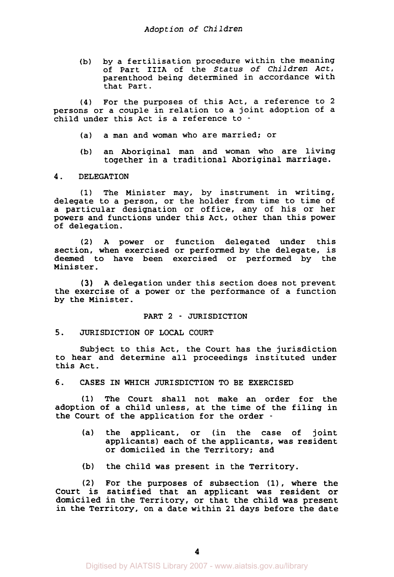(b) by a fertilisation procedure within the meaning of Part IIIA of the *Status* of *Children Act,*  parenthood being determined in accordance with that Part.

**(4)** For the purposes of this Act, a reference to **2**  persons or a couple in relation to a joint adoption of a child under this Act is a reference to -

- (a) a man and woman who are married; or
- (b) an Aboriginal man and woman who are living together in a traditional Aboriginal marriage.

# **4.** DELEGATION

**(1)** The Minister may, by instrument in writing, delegate to a person, or the holder from time to time of a particular designation or office, any of his or her powers and functions under this Act, other than this power of delegation.

**(2) A** power **or** function delegated under this section, when exercised or performed by the delegate, is deemed to have been exercised or performed by the Minister.

**(3) A** delegation under this section does not prevent the exercise of a power or the performance of a function by the Minister.

#### PART **2** - JURISDICTION

#### 5. JURISDICTION OF LOCAL COURT

Subject to this Act, the Court has the jurisdiction to hear and determine all proceedings instituted under this Act.

*6.* CASES IN WHICH JURISDICTION TO BE EXERCISED

**(1)** The Court shall not make an order for the adoption of a child unless, at the time of the filing in the Court of the application for the order -

- (a) the applicant, or (in the case of joint applicants) each of the applicants, was resident or domiciled in the Territory; and
- **(b)** the child was present in the Territory.

**(2)** For the purposes of subsection **(11,** where the Court is satisfied that an applicant was resident or domiciled in the Territory, or that the child was present in the Territory, on a date within **21** days before the date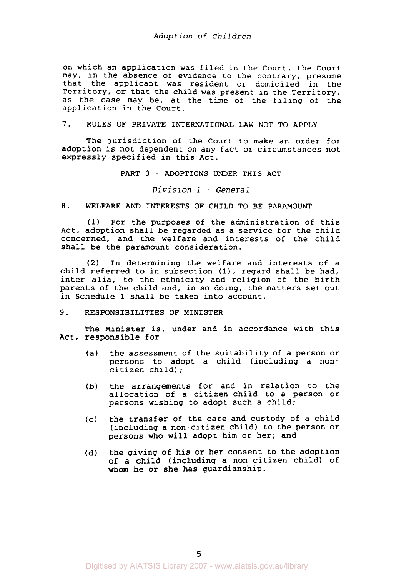# *Adopt* ion **of** *Children*

on which an application was filed in the Court, the Court may, in the absence of evidence to the contrary, presume that the applicant was resident or domiciled in the Territory, or that the child was present in the Territory, as the case may be, at the time of the filing of the application in the Court.

# 7. RULES OF PRIVATE INTERNATIONAL LAW NOT TO APPLY

The jurisdiction of the Court to make an order for adoption is not dependent on any fact or circumstances not expressly specified in this Act.

#### PART **3** - ADOPTIONS UNDER THIS ACT

# *Division 1* - *General*

# 8. WELFARE *AND* INTERESTS OF CHILD TO BE PARAMOUNT

**(1)** For the purposes of the administration of this Act, adoption shall be regarded as a service for the child concerned, and the welfare and interests of the child shall be the paramount consideration.

*(2)* In determining the welfare and interests of a child referred to in subsection **(1),** regard shall be had, inter alia, to the ethnicity and religion of the birth parents of the child and, in **so** doing, the matters set out in Schedule 1 shall be taken into account.

# *9.* RESPONSIBILITIES OF MINISTER

The Minister is, under and in accordance with this Act, responsible for -

- (a) the assessment of the suitability of a person or persons to adopt a child (including a noncitizen child) ;
- **(b)** the arrangements for and in relation to the allocation of a citizen-child to a person or persons wishing to adopt such a child;
- (c) the transfer of the care and custody of a child (including a non-citizen child) to the person or persons who will adopt him or her; and
- the giving of his or her consent to the adoption of a child (including a non-citizen child) of whom he or she has guardianship. **(d)**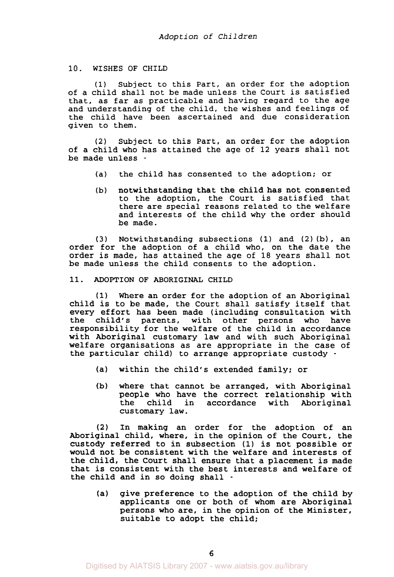#### **10. WISHES OF CHILD**

(1) Subject to this Part, an order for the adoption of a child shall not be made unless the Court is satisfied that, as far as practicable and having regard to the age and understanding of the child, the wishes and feelings of the child have been ascertained and due consideration given to them.

(2) Subject to this Part, an order for the adoption of a child who has attained the age of 12 years shall not be made unless -

- (a) the child has consented to the adoption; or
- (b) notwithstanding that the child has not consented to the adoption, the Court is satisfied that there are special reasons related to the welfare and interests of the child why the order should be made.

**(3)** Notwithstanding subsections (1) and (2) (b), an order for the adoption of a child who, on the date the order is made, has attained the age of 18 years shall not be made unless the child consents to the adoption.

# **11. ADOPTION OF ABORIGINAL CHILD**

**(1)** Where an order for the adoption of an Aboriginal child is to be made, the Court shall satisfy itself that every effort has been made (including consultation with<br>the child's parents, with other persons who have child's parents, with other persons responsibility for the welfare of the child in accordance with Aboriginal customary law and with such Aboriginal welfare organisations as are appropriate in the case of the particular child) to arrange appropriate custody -

- (a) within the child's extended family; or
- (b) where that cannot be arranged, with Aboriginal people who have the correct relationship with<br>the child in accordance with Aboriginal child in accordance with Aboriginal customary law.

**(2)** In making an order for the adoption of an Aboriginal child, where, in the opinion of the Court, the custody referred to in subsection **(1)** is not possible or would not be consistent with the welfare and interests of the child, the Court shall ensure that a placement is made that is consistent with the best interests and welfare of the child and in so doing shall -

(a) give preference to the adoption of the child by applicants one or both of whom are Aboriginal persons who are, in the opinion of the Minister, suitable to adopt the child;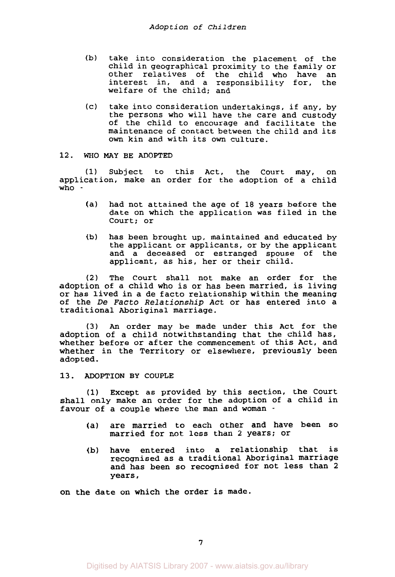- **(b)** take into consideration the placement of the child in geographical proximity to the family or other relatives of the child who have an interest in, and a responsibility for, the welfare of the child: and
- (c) take into consideration undertakings, if any, by the persons who will have the care and custody of the child to encourage and facilitate the maintenance of contact between the child and its own kin and with its own culture.

#### **12. WHO MAY** BE ADOPTED

**(1)** Subject to this Act, the Court may, on application, make an order for the adoption of a child who -

- (a) had not attained the age of 18 years before the date on which the application was filed in the Court: or
- (b) has been brought up, maintained and educated by the applicant or applicants, or by the applicant and a deceased or estranged spouse of the applicant, as his, her or their child.

**(2)** The Court shall not make an order for the adoption of a child who is or has been married, is living or has lived in a de facto relationship within the meaning of the De *Facto Relationship Act* or has entered into a traditional Aboriginal marriage.

**(3)** *An* order may be made under this Act for the adoption of a child notwithstanding that the child has, whether before or after the commencement of this Act, and whether in the Territory or elsewhere, previously been adopted.

**13.** ADOPTION **BY** COUPLE

**(1)** Except as provided by this section, the Court shall only make an order for the adoption of a child in favour of a couple where the man and woman -

- (a) are married to each other and have been *so*  married for not less than **2** years; or
- (b) have entered into a relationship that is recognised as a traditional Aboriginal marriage and has been so recognised for not less than **2**  years,

on the date on which the order is made.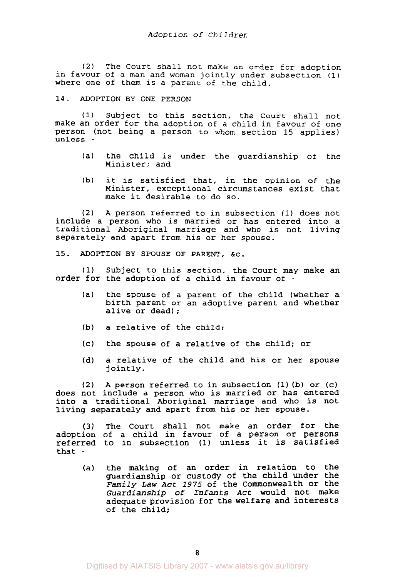(2) The Court shall not make an order for adoption in favour of a man and woman jointly under subsection **(1)**  where one of them is a parent of the child.

#### 14. ADOPTION BY ONE PERSON

(1) Subject to this section, the Court shall not make an order for the adoption of a child in favour of one person (not being a person to whom section 15 applies) unless -

- (a) the child is under the guardianship of the Minister; and
- (b) it is satisfied that, in the opinion of the Minister, exceptional circumstances exist that make it desirable to do so.

**(2) A** person referred to in subsection **(1)** does not include a person who is married or has entered into a traditional Aboriginal marriage and who is not living separately and apart from his or her spouse.

15. ADOPTION BY SPOUSE OF PARENT, &C.

**(1)** Subject to this section, the Court may make an order for the adoption of a child in favour of

- (a) the spouse of a parent of the child (whether a birth parent or an adoptive parent and whether alive or dead);
- **(b)** a relative of the child;
- (c) the spouse of a relative of the child; or
- (d) a relative of the child and his or her spouse jointly.

**(2)** A person referred to in subsection **(1) (b)** or (c) does not include a person who is married or has entered into a traditional Aboriginal marriage and who is not living separately and apart from his or her spouse.

**(3)** The Court shall not make an order for the adoption of a child in favour of a person or persons referred to in subsection (1) unless it is satisfied that -

(a) the making of an order in relation to the guardianship or custody of the child under the *Family Law Act 1975* of the Commonwealth or the *Guardianship* of *Infants* **Act** would not make adequate provision for the welfare and interests of the child;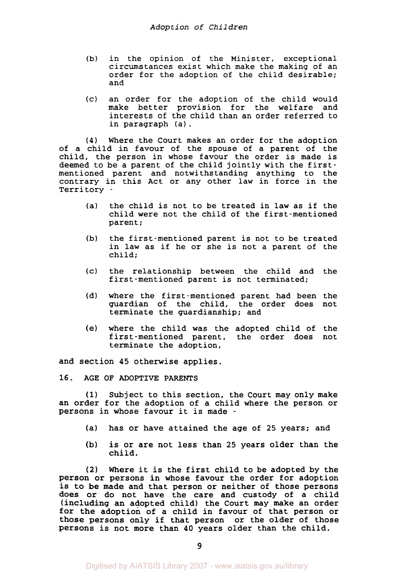- (b) in the opinion of the Minister, exceptional circumstances exist which make the making of an order for the adoption of the child desirable; and
- (c) an order for the adoption of the child would make better provision for the welfare and interests of the child than an order referred to in paragraph (a) .

**(4)** Where the Court makes an order for the adoption of a child in favour of the spouse of a parent of the child, the person in whose favour the order is made is deemed to be a parent of the child jointly with the firstmentioned parent and notwithstanding anything to the contrary in this Act or any other law in force in the Territory -

- (a) the child is not to be treated in law as if the child were not the child of the first-mentioned parent ;
- (b) the first-mentioned parent is not to be treated in law as if he or she is not a parent of the child;
- (c) the relationship between the child and the first-mentioned parent is not terminated;
- (d) where the first-mentioned parent had been the guardian of the child, the order does not terminate the guardianship; and
- (e) where the child was the adopted child of the first-mentioned parent, the order does not terminate the adoption,

and section **45** otherwise applies.

**16. AGE OF ADOPTIVE PARENTS** 

**(1)** Subject to this section, the Court may only make an order for the adoption of a child where the person or persons in whose favour it is made -

- (a) has or have attained the age of **25** years; and
- **(b)** is or are not less than **25** years older than the child.

**(2)** Where it is the first child to be adopted by the Person or persons in whose favour the order for adoption is to be made and that person or neither of those persons does or do not have the care and custody of a child (including an adopted child) the Court may make an order for the adoption of a child in favour of that person or those persons only if that person or the older of those Persons is not more than **40** years older than the child.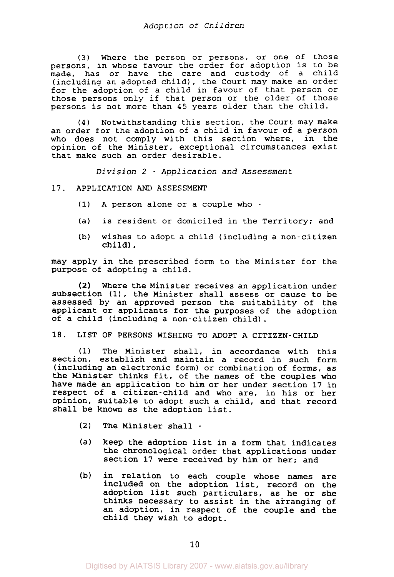**(3)** Where the person or persons, or one of those persons, in whose favour the order for adoption is to be made, has or have the care and custody of a child (including an adopted child), the Court may make an order for the adoption of a child in favour of that person or those persons only if that person or the older of those persons is not more than 45 years older than the child.

**(4)** Notwithstanding this section, the Court may make an order for the adoption of a child in favour of a person who does not comply with this section where, in the opinion of the Minister, exceptional circumstances exist that make such an order desirable.

*Division 2* - *Application and Assessment* 

#### **17.** APPLICATION *AND* ASSESSMENT

- **(1)** A person alone or a couple who -
- (a) is resident or domiciled in the Territory; and
- (b) wishes to adopt a child (including a non-citizen child),

may apply in the prescribed form to the Minister for the purpose of adopting a child.

Where the Minister receives an application under subsection **(11,** the Minister shall assess or cause to be assessed by an approved person the suitability of the applicant or applicants for the purposes of the adoption of a child (including a non-citizen child). **(2)** 

# **18.** LIST **OF** PERSONS WISHING TO ADOPT A CITIZEN-CHILD

**(1)** The Minister shall, in accordance with this section, establish and maintain a record in such form (including an electronic form) or combination of forms, as the Minister thinks fit, of the names of the couples who have made an application to him or her under section **17** in respect of a citizen-child and who are, in his or her opinion, suitable to adopt such a child, and that record shall be known **as** the adoption list.

- *(2)* The Minister shall -
- (a) keep the adoption list in a form that indicates the chronological order that applications under section **17** were received by him or her; and
- (b) in relation to each couple whose names are included on the adoption list, record on the adoption list such particulars, as he or she thinks necessary to assist in the arranging of an adoption, in respect of the couple and the child they wish to adopt.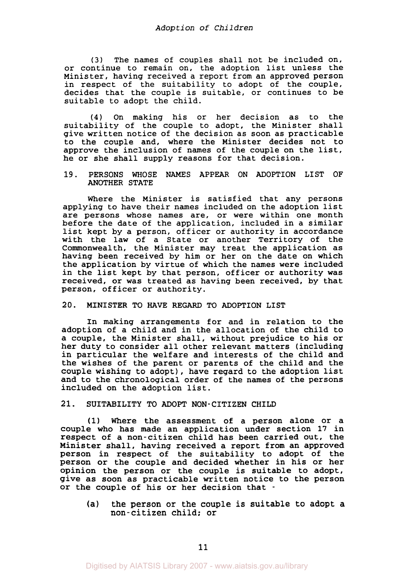**(3)** The names of couples shall not be included on, or continue to remain on, the adoption list unless the Minister, having received a report from an approved person in respect of the suitability to adopt of the couple, decides that the couple is suitable, or continues to be suitable to adopt the child.

**(4)** On making his or her decision as to the suitability of the couple to adopt, the Minister shall give written notice of the decision as soon as practicable to the couple and, where the Minister decides not to approve the inclusion of names of the couple on the list, he or she shall supply reasons for that decision.

#### 19. PERSONS WHOSE NAMES APPEAR ON ADOPTION LIST OF ANOTHER STATE

Where the Minister is satisfied that any persons applying to have their names included on the adoption list are persons whose names are, or were within one month before the date of the application, included in a similar list kept by a person, officer or authority in accordance with the law of a State or another Territory of the Commonwealth, the Minister may treat the application as having been received by him or her on the date on which the application by virtue of which the names were included in the list kept by that person, officer or authority was received, or was treated as having been received, by that person, officer or authority.

# 20. MINISTER TO HAVE REGARD TO ADOPTION LIST

In making arrangements for and in relation to the adoption of a child and in the allocation of the child to a couple, the Minister shall, without prejudice to his or her duty to consider all other relevant matters (including in particular the welfare and interests of the child and the wishes of the parent or parents of the child and the couple wishing to adopt), have regard to the adoption list and to the chronological order of the names of the persons included on the adoption list.

# 21. SUITABILITY TO ADOPT NON-CITIZEN CHILD

(1) Where the assessment of a person alone or a couple who has made an application under section 17 in respect of a non-citizen child has been carried out, the Minister shall, having received a report from an approved person in respect of the suitability to adopt of the person or the couple and decided whether in his or her opinion the person or the couple is suitable to adopt, give as soon as practicable written notice to the person or the couple of his or her decision that -

(a) the person or the couple is suitable to adopt a non-citizen child: or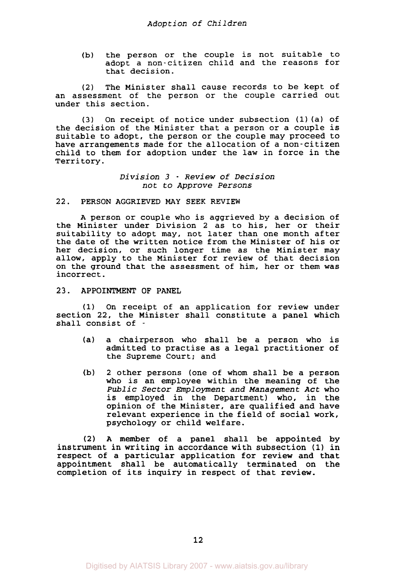**(b)** the person or the couple is not suitable to adopt a non-citizen child and the reasons for that decision.

**(2)** The Minister shall cause records to be kept of an assessment of the person or the couple carried out under this section.

**(3)** On receipt of notice under subsection **(1)** (a) of the decision of the Minister that a person or a couple is suitable to adopt, the person or the couple may proceed to have arrangements made for the allocation of a non-citizen child to them for adoption under the law in force in the Territory.

# *Division 3* - *Review of Decision not to Approve Persons*

#### **22. PERSON AGGRIEVED** MAY **SEEK REVIEW**

**A** person **or** couple who is aggrieved by a decision of the Minister under Division **2** as to his, her or their suitability to adopt may, not later than one month after the date of the written notice from the Minister of his or her decision, or such longer time as the Minister may allow, apply to the Minister for review of that decision on the ground that the assessment of him, her or them was incorrect.

#### **23. APPOINTMENT OF PANEL**

**(1)** On receipt of an application for review under section **22,** the Minister shall constitute a panel which shall consist of -

- (a) a chairperson who shall be a person who is admitted to practise as a legal practitioner of the Supreme Court; and
- (b) **2** other persons (one of whom shall be a person who is an employee within the meaning of the *Public Sector Employment and Management Act* who is employed in the Department) who, in the opinion of the Minister, are qualified and have relevant experience in the field of social work, psychology or child welfare.

*(2)* **A** member of a panel shall be appointed by instrument in writing in accordance with subsection **(1)** in respect of a particular application for review and that appointment shall be automatically terminated on the completion of its inquiry in respect of that review.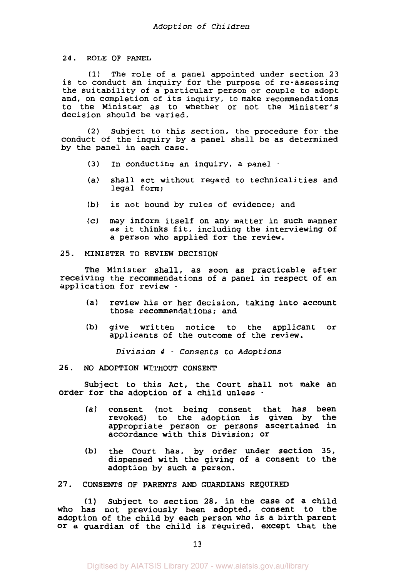#### **24.** ROLE OF PANEL

(1) The role of a panel appointed under section 23 is to conduct an inquiry for the purpose of re-assessing the suitability of a particular person or couple to adopt and, on completion of its inquiry, to make recommendations to the Minister as to whether or not the Minister's decision should be varied.

*(2)* Subject to this section, the procedure for the conduct of the inquiry by a panel shall be as determined by the panel in each case.

- **(3)** In conducting an inquiry, a panel -
- (a) shall act without regard to technicalities and legal form;
- (b) is not bound by rules of evidence; and
- (c) may inform itself on any matter in such manner as it thinks fit, including the interviewing of a person who applied for the review.

## 25. MINISTER TO REVIEW DECISION

The Minister shall, as soon as practicable after receiving the recommendations of a panel in respect of an application for review -

- (a) review his or her decision, taking into account those recommendations; and
- (b) give written notice to the applicant or applicants of the outcome of the review.

*Division 4* - *Consents to Adoptions* 

26. NO ADOPTION WITHOUT CONSENT

Subject to this Act, the Court shall not make an order for the adoption of a child unless -

- (a) consent (not being consent that has been revoked) to the adoption is given by the appropriate person or persons ascertained in accordance with this Division; or
- (b) the Court has, by order under section 35, dispensed with the giving of a consent to the adoption by such a person.

#### 27. CONSENTS OF PARENTS AND GUARDIANS REQUIRED

**(1)** Subject to section **28,** in the case of a child who has not previously been adopted, consent to the adoption of the child by each person who is a birth parent or a guardian of the child is required, except that the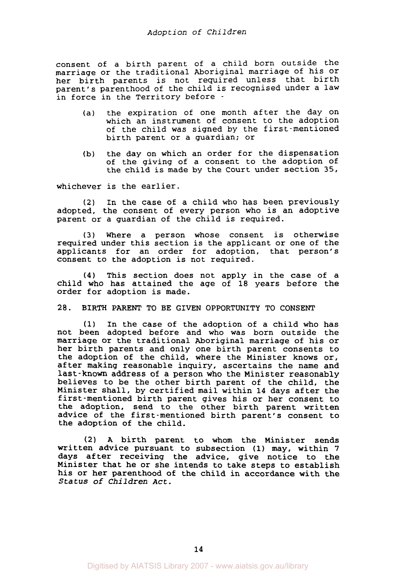consent of a birth parent of a child born outside the marriage or the traditional Aboriginal marriage of his or her birth parents is not required unless that birth parent's parenthood of the child is recognised under a law in force in the Territory before -

- (a) the expiration of one month after the day on which an instrument of consent to the adoption of the child was signed by the first-mentioned birth parent or a guardian; or
- (b) the day on which an order for the dispensation of the giving of a consent to the adoption of the child is made by the Court under section 35,

whichever is the earlier.

*(2)* In the case of a child who has been previously adopted, the consent of every person who is an adoptive parent or a guardian of the child is required.

**(3)** Where a person whose consent is otherwise required under this section is the applicant or one of the applicants for an order for adoption, that person's consent to the adoption is not required.

**(4)** This section does not apply in the case of a child who has attained the age of 18 years before the order for adoption is made.

**28. BIRTH** PARENT TO BE GIVEN OPPORTUNITY TO CONSENT

(1) In the case of the adoption of a child who has not been adopted before and who was born outside the marriage or the traditional Aboriginal marriage of his or her birth parents and only one birth parent consents to the adoption of the child, where the Minister knows or, after making reasonable inquiry, ascertains the name and last-known address of a person who the Minister reasonably believes to be the other birth parent of the child, the Minister shall, by certified mail within 14 days after the first-mentioned birth parent gives his or her consent to the adoption, send to the other birth parent written advice of the first-mentioned birth parent's consent to the adoption of the child.

*(2)* A birth parent to whom the Minister sends written advice pursuant to subsection (1) may, within 7 days after receiving the advice, give notice to the Minister that he or she intends to take steps to establish his or her parenthood of the child in accordance with the *Status* of Children *Act.*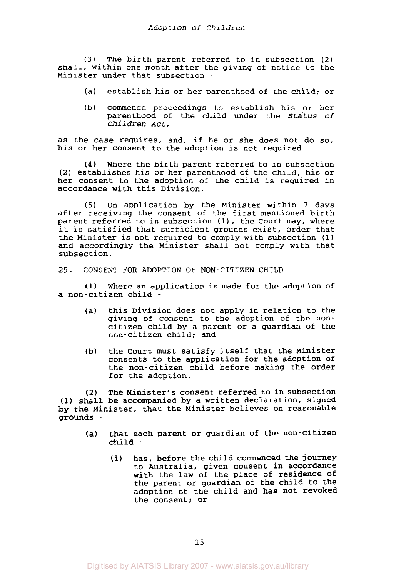**(3)** The birth parent referred to in subsection *(2)*  shall, within one month after the giving of notice to the Minister under that subsection -

- (a) establish his or her parenthood of the child; or
- (b) commence proceedings to establish his or her parenthood of the child under the *Status* of *Children Act* ,

as the case requires, and, if he or she does not do so, his or her consent to the adoption is not required.

Where the birth parent referred to in subsection **(4)**  *(2)* establishes his or her parenthood of the child, his or her consent to the adoption of the child is required in accordance with this Division.

*(5)* On application by the Minister within 7 days after receiving the consent of the first-mentioned birth parent referred to in subsection (1), the Court may, where it is satisfied that sufficient grounds exist, order that the Minister is not required to comply with subsection **(1)**  and accordingly the Minister shall not comply with that subsection.

**29.** CONSENT FOR ADOPTION OF NON-CITIZEN CHILD

**(1)** Where an application is made for the adoption of a non-citizen child -

- (a) this Division does not apply in relation to the giving of consent to the adoption of the noncitizen child by a parent or a guardian of the non-citizen child; and
- (b) the Court must satisfy itself that the Minister consents to the application for the adoption of the non-citizen child before making the order for the adoption.

**(2)** The Minister's consent referred to in subsection **(1)** shall be accompanied by a written declaration, signed by the Minister, that the Minister believes on reasonable grounds -

- (a) that each parent or guardian of the non-citizen child -
	- (i) has, before the child commenced the journey to Australia, given consent in accordance with the law of the place of residence of the parent or guardian of the child to the adoption of the child and has not revoked the consent; or